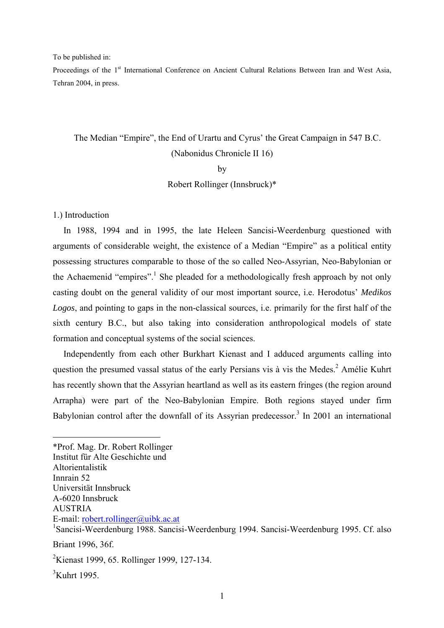To be published in:

Proceedings of the 1<sup>st</sup> International Conference on Ancient Cultural Relations Between Iran and West Asia, Tehran 2004, in press.

## The Median "Empire", the End of Urartu and Cyrus' the Great Campaign in 547 B.C. (Nabonidus Chronicle II 16)

by

Robert Rollinger (Innsbruck)\*

1.) Introduction

In 1988, 1994 and in 1995, the late Heleen Sancisi-Weerdenburg questioned with arguments of considerable weight, the existence of a Median "Empire" as a political entity possessing structures comparable to those of the so called Neo-Assyrian, Neo-Babylonian or the Achaemenid "empires".<sup>[1](#page-0-0)</sup> She pleaded for a methodologically fresh approach by not only casting doubt on the general validity of our most important source, i.e. Herodotus' *Medikos Logos*, and pointing to gaps in the non-classical sources, i.e. primarily for the first half of the sixth century B.C., but also taking into consideration anthropological models of state formation and conceptual systems of the social sciences.

Independently from each other Burkhart Kienast and I adduced arguments calling into question the presumed vassal status of the early Persians vis à vis the Medes. $<sup>2</sup>$  Amélie Kuhrt</sup> has recently shown that the Assyrian heartland as well as its eastern fringes (the region around Arrapha) were part of the Neo-Babylonian Empire. Both regions stayed under firm Babylonian control after the downfall of its Assyrian predecessor.<sup>[3](#page-0-2)</sup> In 2001 an international

<span id="page-0-0"></span>\*Prof. Mag. Dr. Robert Rollinger Institut für Alte Geschichte und Altorientalistik Innrain 52 Universität Innsbruck A-6020 Innsbruck AUSTRIA E-mail: robert.rollinger@uibk.ac.at <sup>1</sup>Sancisi-Weerdenburg 1988. Sancisi-Weerdenburg 1994. Sancisi-Weerdenburg 1995. Cf. also Briant 1996, 36f.

<span id="page-0-1"></span><sup>2</sup>Kienast 1999, 65. Rollinger 1999, 127-134.

<span id="page-0-2"></span> $<sup>3</sup>Kuhrt$  1995.</sup>

<u>.</u>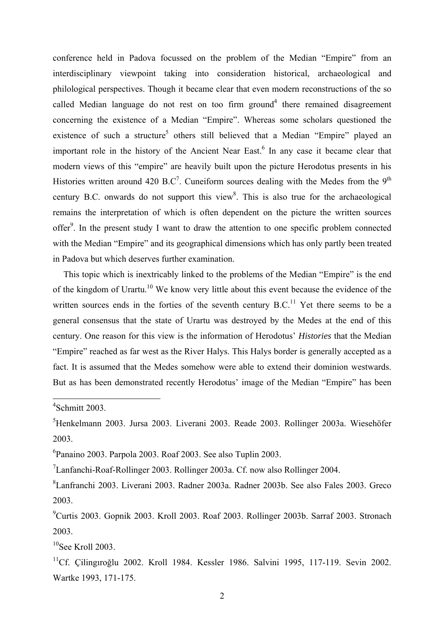conference held in Padova focussed on the problem of the Median "Empire" from an interdisciplinary viewpoint taking into consideration historical, archaeological and philological perspectives. Though it became clear that even modern reconstructions of the so called Median language do not rest on too firm ground<sup>[4](#page-1-0)</sup> there remained disagreement concerning the existence of a Median "Empire". Whereas some scholars questioned the existence of such a structure<sup>5</sup> others still believed that a Median "Empire" played an important role in the history of the Ancient Near East.<sup>6</sup> In any case it became clear that modern views of this "empire" are heavily built upon the picture Herodotus presents in his Histories written around 420 B.C<sup>7</sup>. Cuneiform sources dealing with the Medes from the 9<sup>th</sup> century B.C. onwards do not support this view $8$ . This is also true for the archaeological remains the interpretation of which is often dependent on the picture the written sources offer<sup>[9](#page-1-5)</sup>. In the present study I want to draw the attention to one specific problem connected with the Median "Empire" and its geographical dimensions which has only partly been treated in Padova but which deserves further examination.

This topic which is inextricably linked to the problems of the Median "Empire" is the end of the kingdom of Urartu.<sup>10</sup> We know very little about this event because the evidence of the written sources ends in the forties of the seventh century  $B.C.<sup>11</sup>$  Yet there seems to be a general consensus that the state of Urartu was destroyed by the Medes at the end of this century. One reason for this view is the information of Herodotus' *Histories* that the Median "Empire" reached as far west as the River Halys. This Halys border is generally accepted as a fact. It is assumed that the Medes somehow were able to extend their dominion westwards. But as has been demonstrated recently Herodotus' image of the Median "Empire" has been

<span id="page-1-0"></span>4 Schmitt 2003.

1

<span id="page-1-1"></span>5 Henkelmann 2003. Jursa 2003. Liverani 2003. Reade 2003. Rollinger 2003a. Wiesehöfer 2003.

<span id="page-1-2"></span>6 Panaino 2003. Parpola 2003. Roaf 2003. See also Tuplin 2003.

<span id="page-1-3"></span> $7$ Lanfanchi-Roaf-Rollinger 2003. Rollinger 2003a. Cf. now also Rollinger 2004.

<span id="page-1-4"></span>8 Lanfranchi 2003. Liverani 2003. Radner 2003a. Radner 2003b. See also Fales 2003. Greco 2003.

<span id="page-1-5"></span>9 Curtis 2003. Gopnik 2003. Kroll 2003. Roaf 2003. Rollinger 2003b. Sarraf 2003. Stronach 2003.

<span id="page-1-6"></span> $10$ See Kroll 2003.

<span id="page-1-7"></span>11Cf. Çilingıroğlu 2002. Kroll 1984. Kessler 1986. Salvini 1995, 117-119. Sevin 2002. Wartke 1993, 171-175.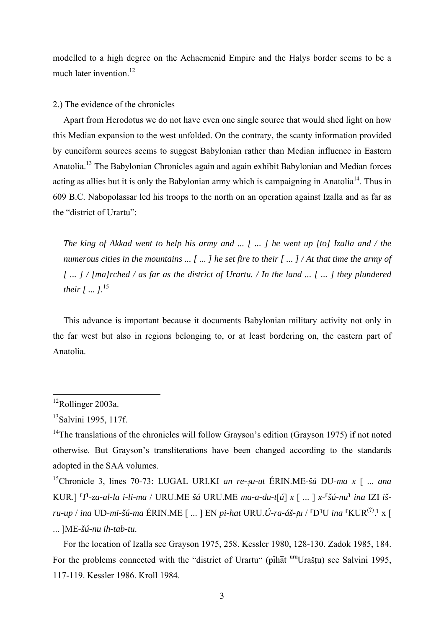modelled to a high degree on the Achaemenid Empire and the Halys border seems to be a much later invention.<sup>12</sup>

2.) The evidence of the chronicles

Apart from Herodotus we do not have even one single source that would shed light on how this Median expansion to the west unfolded. On the contrary, the scanty information provided by cuneiform sources seems to suggest Babylonian rather than Median influence in Eastern Anatolia.<sup>13</sup> The Babylonian Chronicles again and again exhibit Babylonian and Median forces acting as allies but it is only the Babylonian army which is campaigning in Anatolia<sup>14</sup>. Thus in 609 B.C. Nabopolassar led his troops to the north on an operation against Izalla and as far as the "district of Urartu":

The king of Akkad went to help his army and ... [ ... ] he went up [to] Izalla and / the numerous cities in the mountains ...  $\lceil$  ...  $\rceil$  he set fire to their  $\lceil$  ...  $\rceil$  / At that time the army of [ ... ] / [ma]rched / as far as the district of Urartu. / In the land ... [ ... ] they plundered their  $\int$  ...  $l^{15}$ 

This advance is important because it documents Babylonian military activity not only in the far west but also in regions belonging to, or at least bordering on, the eastern part of Anatolia.

<span id="page-2-0"></span> $12$ Rollinger 2003a.

<span id="page-2-1"></span><sup>&</sup>lt;sup>13</sup>Salvini 1995, 117f.

<span id="page-2-2"></span><sup>&</sup>lt;sup>14</sup>The translations of the chronicles will follow Grayson's edition (Grayson 1975) if not noted otherwise. But Grayson's transliterations have been changed according to the standards adopted in the SAA volumes.

<span id="page-2-3"></span><sup>&</sup>lt;sup>15</sup>Chronicle 3, lines 70-73: LUGAL URI.KI an re-su-ut ERIN.ME- $\delta \hat{u}$  DU-ma x [ ... ana KUR.] <sup>[</sup>I<sup>1</sup>-za-al-la i-li-ma / URU.ME šá URU.ME ma-a-du-t[ú] x [ ... ] x-<sup>[</sup>šú-nu<sup>1</sup> ina IZI išru-up / ina UD-mi-šú-ma ÉRIN.ME [ ... ] EN pi-hat URU.Ú-ra-áš-tu / <sup>[</sup>D<sup>1</sup>U ina <sup>[</sup>KUR<sup>(?)</sup>.<sup>1</sup> x [ ...  $IME-šú-nu ih-tab-tu$ .

For the location of Izalla see Gravson 1975, 258. Kessler 1980, 128-130. Zadok 1985, 184. For the problems connected with the "district of Urartu" (pihat uru Uraštu) see Salvini 1995. 117-119. Kessler 1986. Kroll 1984.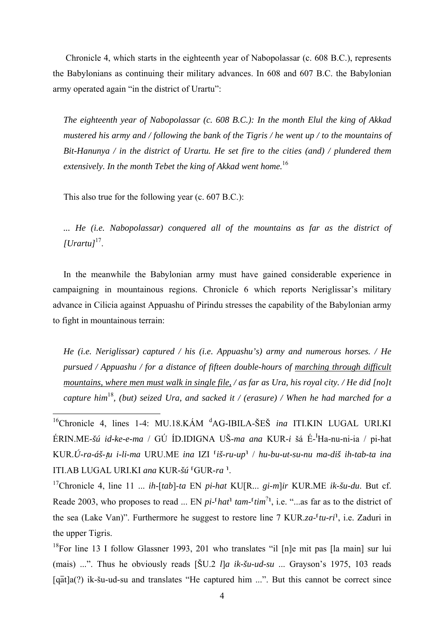Chronicle 4, which starts in the eighteenth year of Nabopolassar (c. 608 B.C.), represents the Babylonians as continuing their military advances. In 608 and 607 B.C. the Babylonian army operated again "in the district of Urartu":

The eighteenth year of Nabopolassar (c. 608 B.C.): In the month Elul the king of Akkad mustered his army and / following the bank of the Tigris / he went up / to the mountains of Bit-Hanunya / in the district of Urartu. He set fire to the cities (and) / plundered them extensively. In the month Tebet the king of Akkad went home.<sup>16</sup>

This also true for the following year (c. 607 B.C.):

... He (i.e. Nabopolassar) conquered all of the mountains as far as the district of  $[U*partu*]^{17}$ .

In the meanwhile the Babylonian army must have gained considerable experience in campaigning in mountainous regions. Chronicle 6 which reports Neriglissar's military advance in Cilicia against Appuashu of Pirindu stresses the capability of the Babylonian army to fight in mountainous terrain:

He (i.e. Neriglissar) captured / his (i.e. Appuashu's) army and numerous horses. / He pursued / Appuashu / for a distance of fifteen double-hours of marching through difficult mountains, where men must walk in single file, / as far as Ura, his royal city. / He did [no]t capture him<sup>18</sup>, (but) seized Ura, and sacked it / (erasure) / When he had marched for a

<span id="page-3-0"></span><sup>16</sup>Chronicle 4, lines 1-4: MU.18.KÁM <sup>d</sup>AG-IBILA-ŠEŠ *ina* ITI.KIN LUGAL URI.KI ÉRIN.ME-šú id-ke-e-ma / GÚ ÍD.IDIGNA UŠ-ma ana KUR-i šá É-<sup>I</sup>Ha-nu-ni-ia / pi-hat KUR.Ú-ra-áš-tu i-li-ma URU.ME ina IZI <sup>[</sup>iš-ru-up<sup>1</sup> / hu-bu-ut-su-nu ma-diš ih-tab-ta ina ITI.AB LUGAL URI.KI ana KUR-šú <sup>[GUR-ra]</sup>.

<span id="page-3-1"></span><sup>17</sup>Chronicle 4, line 11 ... *ih*-[tab]-ta EN pi-hat KU[R ... *gi-mlir* KUR ME *ik-šu-du*. But cf. Reade 2003, who proposes to read ... EN  $pi$ -<sup> $t$ </sup> hat<sup>1</sup> tam- $\frac{t}{t}$  in  $\frac{t}{t}$ , i.e. "... as far as to the district of the sea (Lake Van)". Furthermore he suggest to restore line 7 KUR.za- $[tu-ri]$ , i.e. Zaduri in the upper Tigris.

<span id="page-3-2"></span> $^{18}$ For line 13 I follow Glassner 1993, 201 who translates "il [n]e mit pas [la main] sur lui (mais) ...". Thus he obviously reads [ $\text{\r{S}}U.2$  *lla ik-šu-ud-su* ... Grayson's 1975, 103 reads  $[q\bar{a}t]a(?)$  ik-šu-ud-su and translates "He captured him ...". But this cannot be correct since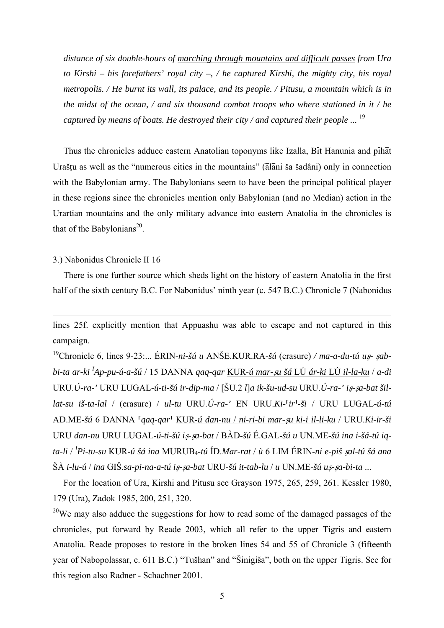distance of six double-hours of marching through mountains and difficult passes from Ura to Kirshi – his forefathers' royal city –, / he captured Kirshi, the mighty city, his royal metropolis. / He burnt its wall, its palace, and its people. / Pitusu, a mountain which is in the midst of the ocean,  $\ell$  and six thousand combat troops who where stationed in it  $\ell$  he captured by means of boats. He destroyed their city / and captured their people ...  $^{19}$ 

Thus the chronicles adduce eastern Anatolian toponyms like Izalla, Bit Hanunia and pihat Uraštu as well as the "numerous cities in the mountains" (alani ša šadâni) only in connection with the Babylonian army. The Babylonians seem to have been the principal political player in these regions since the chronicles mention only Babylonian (and no Median) action in the Urartian mountains and the only military advance into eastern Anatolia in the chronicles is that of the Babylonians<sup>20</sup>.

## 3.) Nabonidus Chronicle II 16

There is one further source which sheds light on the history of eastern Anatolia in the first half of the sixth century B.C. For Nabonidus' ninth year (c. 547 B.C.) Chronicle 7 (Nabonidus

lines 25f. explicitly mention that Appuashu was able to escape and not captured in this campaign.

<span id="page-4-0"></span><sup>19</sup>Chronicle 6, lines 9-23:... ERIN-ni-šú u ANŠE.KUR.RA-šú (erasure) / ma-a-du-tú us-sabbi-ta ar-ki <sup>I</sup>Ap-pu-ú-a-šú / 15 DANNA gag-gar KUR-ú mar-su šá LÚ ár-ki LÚ il-la-ku / a-di URU.Ú-ra-' URU LUGAL-ú-ti-šú ir-dip-ma / [ŠU.2 ]]a ik-šu-ud-su URU.Ú-ra-' is-sa-bat šillat-su iš-ta-lal / (erasure) / ul-tu URU.Ú-ra-' EN URU.Ki- $ir^1$ -ši / URU LUGAL-ú-tú AD.ME-šú 6 DANNA <sup>r</sup>gaq-qar<sup>1</sup> KUR-ú dan-nu / ni-ri-bi mar-șu ki-i il-li-ku / URU.Ki-ir-ši URU dan-nu URU LUGAL-ú-ti-šú is-sa-bat / BÀD-šú É.GAL-šú u UN.ME-šú ina i-šá-tú igta-li / <sup>I</sup>Pi-tu-su KUR-ú šá ina MURUB<sub>4</sub>-tú ÍD.Mar-rat / ù 6 LIM ÉRIN-ni e-piš sal-tú šá ana ŠÀ i-lu-ú / ina GIŠ.sa-pi-na-a-tú is-sa-bat URU-šú it-tab-lu / u UN.ME-šú us-sa-bi-ta ...

For the location of Ura, Kirshi and Pitusu see Grayson 1975, 265, 259, 261. Kessler 1980, 179 (Ura), Zadok 1985, 200, 251, 320.

<span id="page-4-1"></span><sup>20</sup>We may also adduce the suggestions for how to read some of the damaged passages of the chronicles, put forward by Reade 2003, which all refer to the upper Tigris and eastern Anatolia. Reade proposes to restore in the broken lines 54 and 55 of Chronicle 3 (fifteenth year of Nabopolassar, c. 611 B.C.) "Tušhan" and "Šinigiša", both on the upper Tigris. See for this region also Radner - Schachner 2001.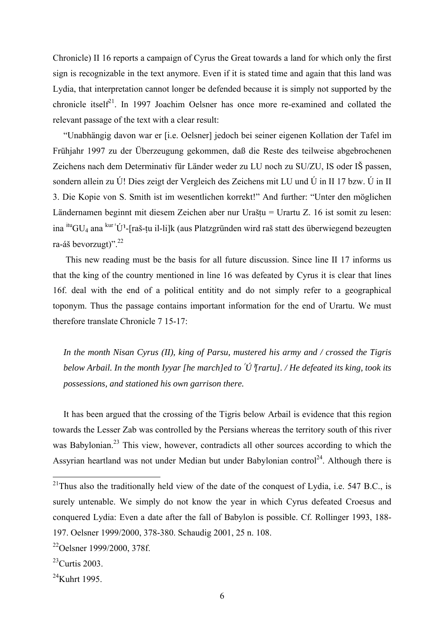Chronicle) II 16 reports a campaign of Cyrus the Great towards a land for which only the first sign is recognizable in the text anymore. Even if it is stated time and again that this land was Lydia, that interpretation cannot longer be defended because it is simply not supported by the chronicle itsel $f^{21}$ . In 1997 Joachim Oelsner has once more re-examined and collated the relevant passage of the text with a clear result:

"Unabhängig davon war er [i.e. Oelsner] jedoch bei seiner eigenen Kollation der Tafel im Frühjahr 1997 zu der Überzeugung gekommen, daß die Reste des teilweise abgebrochenen Zeichens nach dem Determinativ für Länder weder zu LU noch zu SU/ZU, IS oder IŠ passen, sondern allein zu Ú! Dies zeigt der Vergleich des Zeichens mit LU und Ú in II 17 bzw. Ú in II 3. Die Kopie von S. Smith ist im wesentlichen korrekt!" And further: "Unter den möglichen Ländernamen beginnt mit diesem Zeichen aber nur Uraštu = Urartu Z. 16 ist somit zu lesen: ina  $\mathrm{i}^{\text{itu}}\mathrm{GU}_{4}$  ana  $\mathrm{k}^{\text{ur}}$  'Ú'-[raš-tu il-li]k (aus Platzgründen wird raš statt des überwiegend bezeugten ra-áš bevorzugt)".[22](#page-5-1)

This new reading must be the basis for all future discussion. Since line II 17 informs us that the king of the country mentioned in line 16 was defeated by Cyrus it is clear that lines 16f. deal with the end of a political entitity and do not simply refer to a geographical toponym. Thus the passage contains important information for the end of Urartu. We must therefore translate Chronicle 7 15-17:

*In the month Nisan Cyrus (II), king of Parsu, mustered his army and / crossed the Tigris below Arbail. In the month Iyyar [he march]ed to* ^ *Ú*\*[rartu]. / He defeated its king, took its possessions, and stationed his own garrison there.* 

It has been argued that the crossing of the Tigris below Arbail is evidence that this region towards the Lesser Zab was controlled by the Persians whereas the territory south of this river was Babylonian.<sup>23</sup> This view, however, contradicts all other sources according to which the Assyrian heartland was not under Median but under Babylonian control<sup>24</sup>. Although there is

<span id="page-5-0"></span><sup>&</sup>lt;sup>21</sup>Thus also the traditionally held view of the date of the conquest of Lydia, i.e. 547 B.C., is surely untenable. We simply do not know the year in which Cyrus defeated Croesus and conquered Lydia: Even a date after the fall of Babylon is possible. Cf. Rollinger 1993, 188- 197. Oelsner 1999/2000, 378-380. Schaudig 2001, 25 n. 108.

<span id="page-5-1"></span><sup>22</sup>Oelsner 1999/2000, 378f.

<span id="page-5-2"></span> $^{23}$ Curtis 2003.

<span id="page-5-3"></span> $24$ Kuhrt 1995.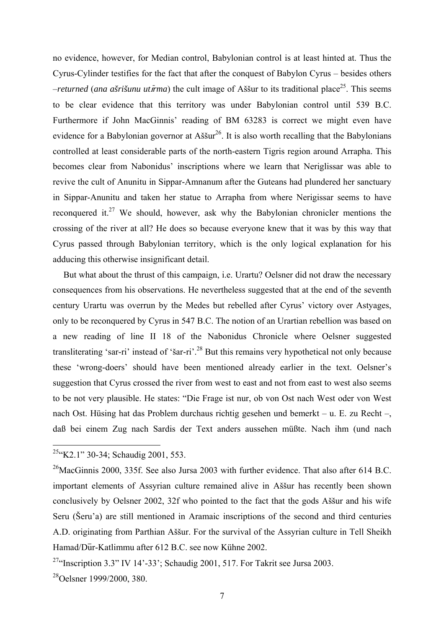no evidence, however, for Median control, Babylonian control is at least hinted at. Thus the Cyrus-Cylinder testifies for the fact that after the conquest of Babylon Cyrus – besides others  $-$ *returned* (*ana ašrišunu utīrma*) the cult image of Aššur to its traditional place<sup>25</sup>. This seems to be clear evidence that this territory was under Babylonian control until 539 B.C. Furthermore if John MacGinnis' reading of BM 63283 is correct we might even have evidence for a Babylonian governor at Aššur<sup>26</sup>. It is also worth recalling that the Babylonians controlled at least considerable parts of the north-eastern Tigris region around Arrapha. This becomes clear from Nabonidus' inscriptions where we learn that Neriglissar was able to revive the cult of Anunitu in Sippar-Amnanum after the Guteans had plundered her sanctuary in Sippar-Anunitu and taken her statue to Arrapha from where Nerigissar seems to have reconquered it.<sup>27</sup> We should, however, ask why the Babylonian chronicler mentions the crossing of the river at all? He does so because everyone knew that it was by this way that Cyrus passed through Babylonian territory, which is the only logical explanation for his adducing this otherwise insignificant detail.

But what about the thrust of this campaign, i.e. Urartu? Oelsner did not draw the necessary consequences from his observations. He nevertheless suggested that at the end of the seventh century Urartu was overrun by the Medes but rebelled after Cyrus' victory over Astyages, only to be reconquered by Cyrus in 547 B.C. The notion of an Urartian rebellion was based on a new reading of line II 18 of the Nabonidus Chronicle where Oelsner suggested transliterating 'sar-ri' instead of 'šar-ri'[.28](#page-6-3) But this remains very hypothetical not only because these 'wrong-doers' should have been mentioned already earlier in the text. Oelsner's suggestion that Cyrus crossed the river from west to east and not from east to west also seems to be not very plausible. He states: "Die Frage ist nur, ob von Ost nach West oder von West nach Ost. Hüsing hat das Problem durchaus richtig gesehen und bemerkt – u. E. zu Recht –, daß bei einem Zug nach Sardis der Text anders aussehen müßte. Nach ihm (und nach

<span id="page-6-0"></span> $25$ "K2.1" 30-34; Schaudig 2001, 553.

<span id="page-6-1"></span> $^{26}$ MacGinnis 2000, 335f. See also Jursa 2003 with further evidence. That also after 614 B.C. important elements of Assyrian culture remained alive in Aššur has recently been shown conclusively by Oelsner 2002, 32f who pointed to the fact that the gods Aššur and his wife Seru (Šeru'a) are still mentioned in Aramaic inscriptions of the second and third centuries A.D. originating from Parthian Aššur. For the survival of the Assyrian culture in Tell Sheikh Hamad/Dur-Katlimmu after 612 B.C. see now Kühne 2002.

<span id="page-6-2"></span><sup>&</sup>lt;sup>27</sup>"Inscription 3.3" IV 14'-33': Schaudig 2001, 517. For Takrit see Jursa 2003.

<span id="page-6-3"></span> $^{28}$ Oelsner 1999/2000, 380.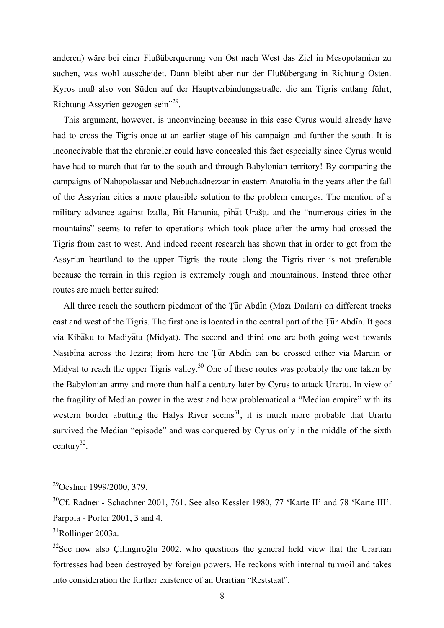anderen) wäre bei einer Flußüberquerung von Ost nach West das Ziel in Mesopotamien zu suchen, was wohl ausscheidet. Dann bleibt aber nur der Flußübergang in Richtung Osten. Kyros muß also von Süden auf der Hauptverbindungsstraße, die am Tigris entlang führt, Richtung Assyrien gezogen sein["29.](#page-7-0)

This argument, however, is unconvincing because in this case Cyrus would already have had to cross the Tigris once at an earlier stage of his campaign and further the south. It is inconceivable that the chronicler could have concealed this fact especially since Cyrus would have had to march that far to the south and through Babylonian territory! By comparing the campaigns of Nabopolassar and Nebuchadnezzar in eastern Anatolia in the years after the fall of the Assyrian cities a more plausible solution to the problem emerges. The mention of a military advance against Izalla, Bit Hanunia, pihat Uraštu and the "numerous cities in the mountains" seems to refer to operations which took place after the army had crossed the Tigris from east to west. And indeed recent research has shown that in order to get from the Assyrian heartland to the upper Tigris the route along the Tigris river is not preferable because the terrain in this region is extremely rough and mountainous. Instead three other routes are much better suited:

All three reach the southern piedmont of the Tur Abdin (Mazı Daıları) on different tracks east and west of the Tigris. The first one is located in the central part of the Tur Abdin. It goes via Kibaku to Madiyatu (Midyat). The second and third one are both going west towards Nasibina across the Jezira; from here the Tur Abdin can be crossed either via Mardin or Midyat to reach the upper Tigris valley.<sup>30</sup> One of these routes was probably the one taken by the Babylonian army and more than half a century later by Cyrus to attack Urartu. In view of the fragility of Median power in the west and how problematical a "Median empire" with its western border abutting the Halys River seems<sup>31</sup>, it is much more probable that Urartu survived the Median "episode" and was conquered by Cyrus only in the middle of the sixth century<sup>32</sup>.

<span id="page-7-0"></span><sup>29</sup>Oeslner 1999/2000, 379.

<span id="page-7-1"></span><sup>&</sup>lt;sup>30</sup>Cf. Radner - Schachner 2001, 761. See also Kessler 1980, 77 'Karte II' and 78 'Karte III'. Parpola - Porter 2001, 3 and 4.

<span id="page-7-2"></span> $31$ Rollinger 2003a.

<span id="page-7-3"></span> $32$ See now also Cilingiroğlu 2002, who questions the general held view that the Urartian fortresses had been destroyed by foreign powers. He reckons with internal turmoil and takes into consideration the further existence of an Urartian "Reststaat".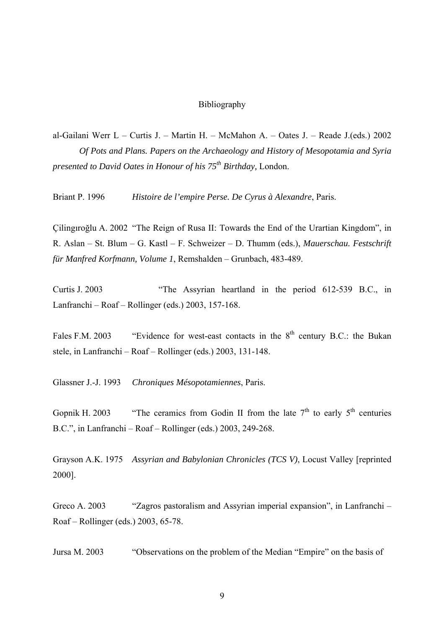## Bibliography

al-Gailani Werr L – Curtis J. – Martin H. – McMahon A. – Oates J. – Reade J. (eds.) 2002 Of Pots and Plans. Papers on the Archaeology and History of Mesopotamia and Syria *presented to David Oates in Honour of his 75<sup>th</sup> Birthday. London.* 

**Briant P. 1996** Histoire de l'empire Perse. De Cyrus à Alexandre, Paris.

Cilingiroğlu A. 2002 "The Reign of Rusa II: Towards the End of the Urartian Kingdom", in R. Aslan – St. Blum – G. Kastl – F. Schweizer – D. Thumm (eds.). Mauerschau. Festschrift für Manfred Korfmann, Volume 1, Remshalden - Grunbach, 483-489.

Curtis J 2003 "The Assyrian heartland in the period 612-539 B.C., in Lanfranchi – Roaf – Rollinger (eds.) 2003, 157-168.

"Evidence for west-east contacts in the 8<sup>th</sup> century B.C.: the Bukan Fales F.M. 2003 stele, in Lanfranchi – Roaf – Rollinger (eds.) 2003, 131-148.

Glassner J.-J. 1993 Chroniques Mésopotamiennes, Paris.

"The ceramics from Godin II from the late  $7<sup>th</sup>$  to early  $5<sup>th</sup>$  centuries Gopnik H. 2003 B.C.", in Lanfranchi – Roaf – Rollinger (eds.)  $2003$ ,  $249-268$ .

Grayson A.K. 1975 Assyrian and Babylonian Chronicles (TCS V), Locust Valley [reprinted] 2000].

"Zagros pastoralism and Assyrian imperial expansion", in Lanfranchi-Greco A. 2003 Roaf – Rollinger (eds.) 2003, 65-78.

Jursa M. 2003 "Observations on the problem of the Median "Empire" on the basis of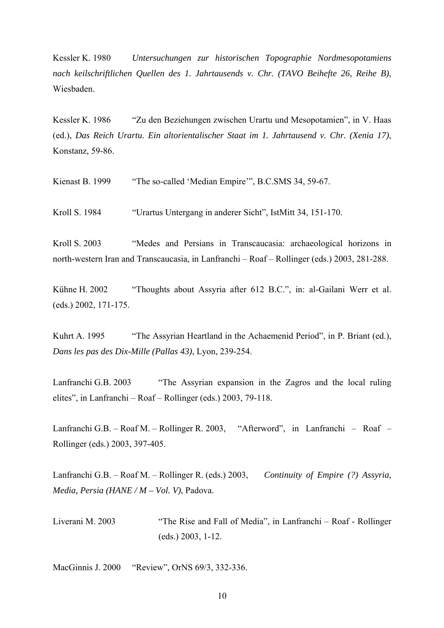Kessler K. 1980 *Untersuchungen zur historischen Topographie Nordmesopotamiens nach keilschriftlichen Quellen des 1. Jahrtausends v. Chr. (TAVO Beihefte 26, Reihe B)*, Wiesbaden.

Kessler K. 1986 "Zu den Beziehungen zwischen Urartu und Mesopotamien", in V. Haas (ed.), *Das Reich Urartu. Ein altorientalischer Staat im 1. Jahrtausend v. Chr. (Xenia 17)*, Konstanz, 59-86.

Kienast B. 1999 "The so-called 'Median Empire'", B.C.SMS 34, 59-67.

Kroll S. 1984 "Urartus Untergang in anderer Sicht", IstMitt 34, 151-170.

Kroll S. 2003 "Medes and Persians in Transcaucasia: archaeological horizons in north-western Iran and Transcaucasia, in Lanfranchi – Roaf – Rollinger (eds.) 2003, 281-288.

Kühne H. 2002 "Thoughts about Assyria after 612 B.C.", in: al-Gailani Werr et al. (eds.) 2002, 171-175.

Kuhrt A. 1995 "The Assyrian Heartland in the Achaemenid Period", in P. Briant (ed.), *Dans les pas des Dix-Mille (Pallas 43)*, Lyon, 239-254.

Lanfranchi G.B. 2003 "The Assyrian expansion in the Zagros and the local ruling elites", in Lanfranchi – Roaf – Rollinger (eds.) 2003, 79-118.

Lanfranchi G.B. – Roaf M. – Rollinger R. 2003, "Afterword", in Lanfranchi – Roaf – Rollinger (eds.) 2003, 397-405.

Lanfranchi G.B. – Roaf M. – Rollinger R. (eds.) 2003, *Continuity of Empire (?) Assyria, Media, Persia (HANE / M – Vol. V)*, Padova.

Liverani M. 2003 "The Rise and Fall of Media", in Lanfranchi – Roaf - Rollinger (eds.) 2003, 1-12.

MacGinnis J. 2000 "Review", OrNS 69/3, 332-336.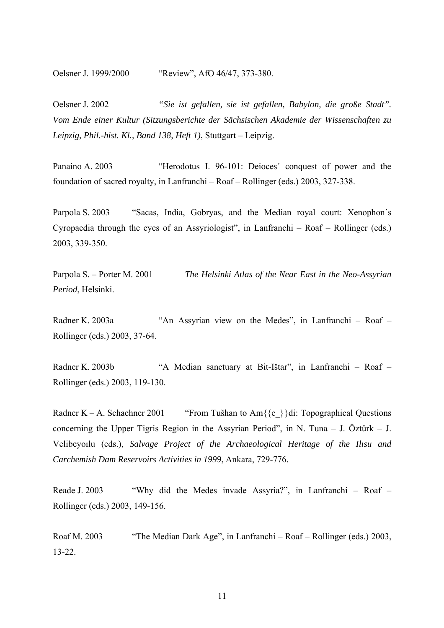Oelsner J. 1999/2000 "Review", AfO 46/47, 373-380.

Oelsner J. 2002 *"Sie ist gefallen, sie ist gefallen, Babylon, die große Stadt". Vom Ende einer Kultur (Sitzungsberichte der Sächsischen Akademie der Wissenschaften zu Leipzig, Phil.-hist. Kl., Band 138, Heft 1)*, Stuttgart – Leipzig.

Panaino A. 2003 "Herodotus I. 96-101: Deioces' conquest of power and the foundation of sacred royalty, in Lanfranchi – Roaf – Rollinger (eds.) 2003, 327-338.

Parpola S. 2003 "Sacas, India, Gobryas, and the Median royal court: Xenophon´s Cyropaedia through the eyes of an Assyriologist", in Lanfranchi – Roaf – Rollinger (eds.) 2003, 339-350.

Parpola S. – Porter M. 2001 *The Helsinki Atlas of the Near East in the Neo-Assyrian Period*, Helsinki.

Radner K. 2003a "An Assyrian view on the Medes", in Lanfranchi – Roaf – Rollinger (eds.) 2003, 37-64.

Radner K. 2003b "A Median sanctuary at Bit-Ištar", in Lanfranchi – Roaf – Rollinger (eds.) 2003, 119-130.

Radner K – A. Schachner 2001 "From Tušhan to Am $\{e^{\}e\}$ di: Topographical Questions concerning the Upper Tigris Region in the Assyrian Period", in N. Tuna – J. Öztürk – J. Velibeyoılu (eds.), *Salvage Project of the Archaeological Heritage of the Ilısu and Carchemish Dam Reservoirs Activities in 1999*, Ankara, 729-776.

Reade J. 2003 "Why did the Medes invade Assyria?", in Lanfranchi – Roaf – Rollinger (eds.) 2003, 149-156.

Roaf M. 2003 "The Median Dark Age", in Lanfranchi – Roaf – Rollinger (eds.) 2003, 13-22.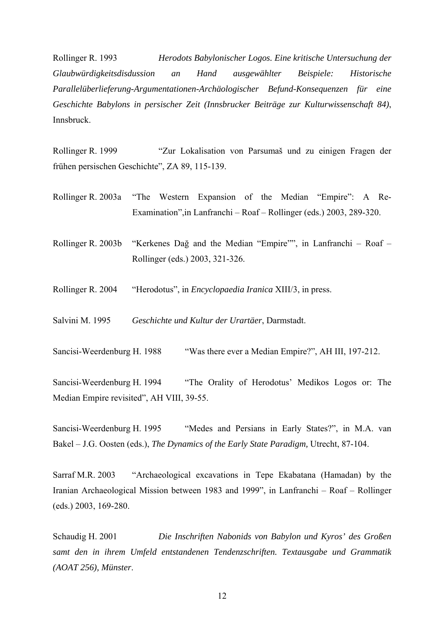Rollinger R. 1993 *Herodots Babylonischer Logos. Eine kritische Untersuchung der Glaubwürdigkeitsdisdussion an Hand ausgewählter Beispiele: Historische Parallelüberlieferung-Argumentationen-Archäologischer Befund-Konsequenzen für eine Geschichte Babylons in persischer Zeit (Innsbrucker Beiträge zur Kulturwissenschaft 84)*, Innsbruck.

Rollinger R. 1999 "Zur Lokalisation von Parsumaš und zu einigen Fragen der frühen persischen Geschichte", ZA 89, 115-139.

Rollinger R. 2003a "The Western Expansion of the Median "Empire": A Re-Examination",in Lanfranchi – Roaf – Rollinger (eds.) 2003, 289-320.

Rollinger R. 2003b "Kerkenes Dağ and the Median "Empire"", in Lanfranchi – Roaf – Rollinger (eds.) 2003, 321-326.

Rollinger R. 2004 "Herodotus", in *Encyclopaedia Iranica* XIII/3, in press.

Salvini M. 1995 *Geschichte und Kultur der Urartäer*, Darmstadt.

Sancisi-Weerdenburg H. 1988 "Was there ever a Median Empire?", AH III, 197-212.

Sancisi-Weerdenburg H. 1994 "The Orality of Herodotus' Medikos Logos or: The Median Empire revisited", AH VIII, 39-55.

Sancisi-Weerdenburg H. 1995 "Medes and Persians in Early States?", in M.A. van Bakel – J.G. Oosten (eds.), *The Dynamics of the Early State Paradigm,* Utrecht, 87-104.

Sarraf M.R. 2003 "Archaeological excavations in Tepe Ekabatana (Hamadan) by the Iranian Archaeological Mission between 1983 and 1999", in Lanfranchi – Roaf – Rollinger (eds.) 2003, 169-280.

Schaudig H. 2001 *Die Inschriften Nabonids von Babylon und Kyros' des Großen samt den in ihrem Umfeld entstandenen Tendenzschriften. Textausgabe und Grammatik (AOAT 256), Münster*.